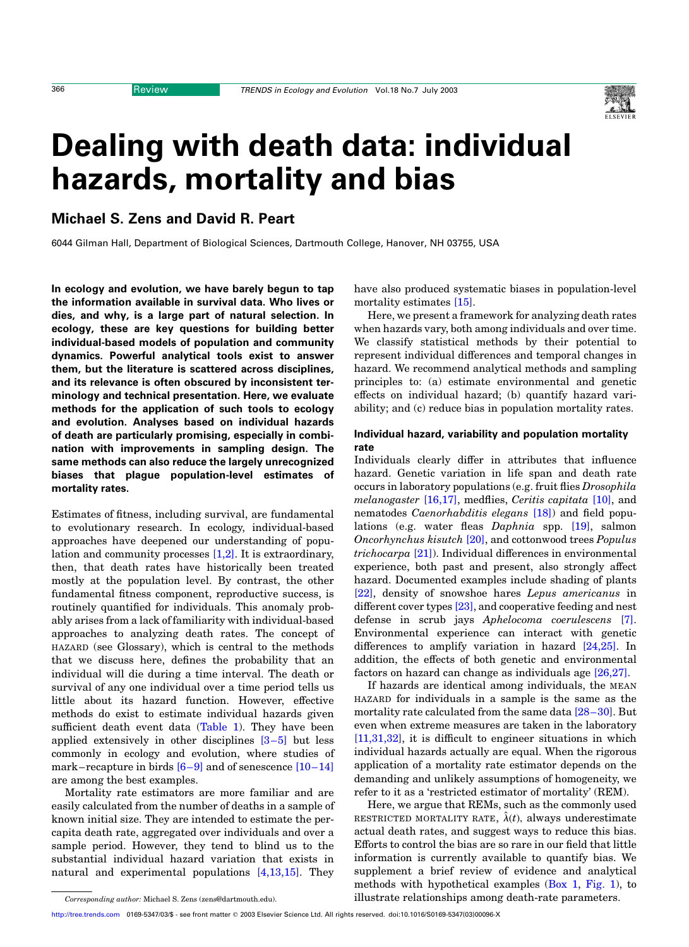# Dealing with death data: individual hazards, mortality and bias

Michael S. Zens and David R. Peart

6044 Gilman Hall, Department of Biological Sciences, Dartmouth College, Hanover, NH 03755, USA

In ecology and evolution, we have barely begun to tap the information available in survival data. Who lives or dies, and why, is a large part of natural selection. In ecology, these are key questions for building better individual-based models of population and community dynamics. Powerful analytical tools exist to answer them, but the literature is scattered across disciplines, and its relevance is often obscured by inconsistent terminology and technical presentation. Here, we evaluate methods for the application of such tools to ecology and evolution. Analyses based on individual hazards of death are particularly promising, especially in combination with improvements in sampling design. The same methods can also reduce the largely unrecognized biases that plague population-level estimates of mortality rates.

Estimates of fitness, including survival, are fundamental to evolutionary research. In ecology, individual-based approaches have deepened our understanding of population and community processes  $[1,2]$ . It is extraordinary, then, that death rates have historically been treated mostly at the population level. By contrast, the other fundamental fitness component, reproductive success, is routinely quantified for individuals. This anomaly probably arises from a lack of familiarity with individual-based approaches to analyzing death rates. The concept of HAZARD (see Glossary), which is central to the methods that we discuss here, defines the probability that an individual will die during a time interval. The death or survival of any one individual over a time period tells us little about its hazard function. However, effective methods do exist to estimate individual hazards given sufficient death event data ([Table 1](#page-2-0)). They have been applied extensively in other disciplines  $[3-5]$  but less commonly in ecology and evolution, where studies of mark–recapture in birds  $[6-9]$  and of senescence  $[10-14]$ are among the best examples.

Mortality rate estimators are more familiar and are easily calculated from the number of deaths in a sample of known initial size. They are intended to estimate the percapita death rate, aggregated over individuals and over a sample period. However, they tend to blind us to the substantial individual hazard variation that exists in natural and experimental populations [\[4,13,15\]](#page-6-0). They

have also produced systematic biases in population-level mortality estimates [\[15\]](#page-6-0).

Here, we present a framework for analyzing death rates when hazards vary, both among individuals and over time. We classify statistical methods by their potential to represent individual differences and temporal changes in hazard. We recommend analytical methods and sampling principles to: (a) estimate environmental and genetic effects on individual hazard; (b) quantify hazard variability; and (c) reduce bias in population mortality rates.

# Individual hazard, variability and population mortality rate

Individuals clearly differ in attributes that influence hazard. Genetic variation in life span and death rate occurs in laboratory populations (e.g. fruit flies Drosophila melanogaster [\[16,17\]](#page-6-0), medflies, Ceritis capitata [\[10\]](#page-6-0), and nematodes *Caenorhabditis elegans* [\[18\]\)](#page-6-0) and field populations (e.g. water fleas Daphnia spp. [\[19\],](#page-6-0) salmon Oncorhynchus kisutch [\[20\]](#page-6-0), and cottonwood trees Populus  $trichocarpa$   $[21]$ ). Individual differences in environmental experience, both past and present, also strongly affect hazard. Documented examples include shading of plants [\[22\],](#page-6-0) density of snowshoe hares Lepus americanus in different cover types [\[23\],](#page-6-0) and cooperative feeding and nest defense in scrub jays Aphelocoma coerulescens [\[7\]](#page-6-0). Environmental experience can interact with genetic differences to amplify variation in hazard [\[24,25\].](#page-6-0) In addition, the effects of both genetic and environmental factors on hazard can change as individuals age [\[26,27\].](#page-6-0)

If hazards are identical among individuals, the MEAN HAZARD for individuals in a sample is the same as the mortality rate calculated from the same data [\[28–30\].](#page-6-0) But even when extreme measures are taken in the laboratory [\[11,31,32\]](#page-6-0), it is difficult to engineer situations in which individual hazards actually are equal. When the rigorous application of a mortality rate estimator depends on the demanding and unlikely assumptions of homogeneity, we refer to it as a 'restricted estimator of mortality' (REM).

Here, we argue that REMs, such as the commonly used RESTRICTED MORTALITY RATE,  $\hat{\lambda}(t)$ , always underestimate actual death rates, and suggest ways to reduce this bias. Efforts to control the bias are so rare in our field that little information is currently available to quantify bias. We supplement a brief review of evidence and analytical methods with hypothetical examples [\(Box 1,](#page-1-0) [Fig. 1](#page-3-0)), to Corresponding author: Michael S. Zens (zens@dartmouth.edu). illustrate relationships among death-rate parameters.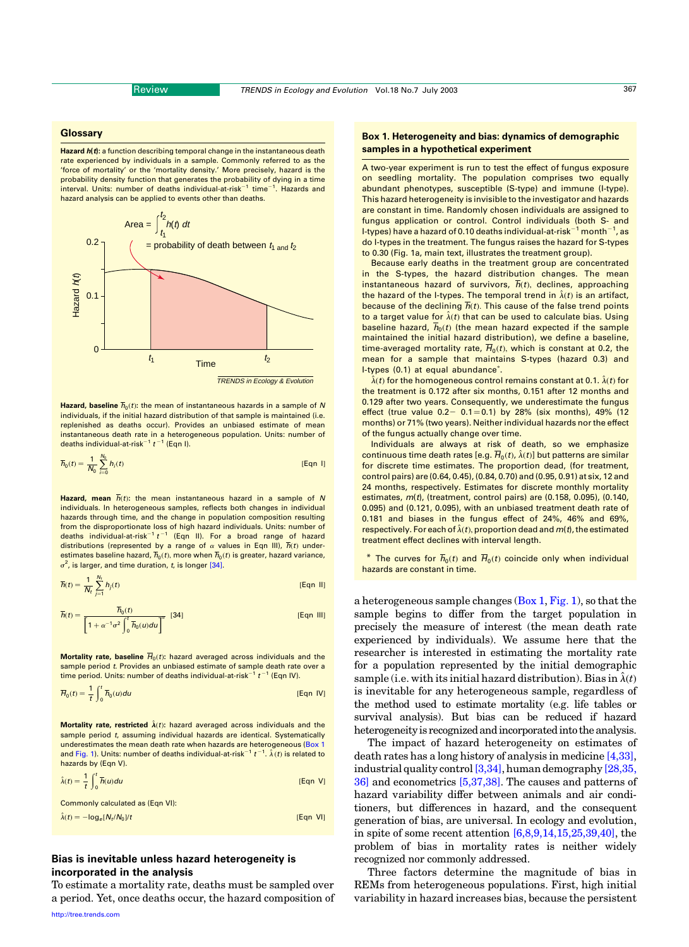#### <span id="page-1-0"></span>**Glossary**

Hazard  $h(t)$ : a function describing temporal change in the instantaneous death rate experienced by individuals in a sample. Commonly referred to as the 'force of mortality' or the 'mortality density.' More precisely, hazard is the probability density function that generates the probability of dying in a time interval. Units: number of deaths individual-at-risk<sup>-1</sup> time<sup>-1</sup>. Hazards and hazard analysis can be applied to events other than deaths.



Hazard, baseline  $\overline{h}_0(t)$ : the mean of instantaneous hazards in a sample of N individuals, if the initial hazard distribution of that sample is maintained (i.e. replenished as deaths occur). Provides an unbiased estimate of mean instantaneous death rate in a heterogeneous population. Units: number of deaths individual-at-risk<sup>-1</sup>  $t<sup>-1</sup>$  (Eqn I).

$$
\overline{h}_0(t) = \frac{1}{N_0} \sum_{i=0}^{N_0} h_i(t)
$$
 [Eqn 1]

Hazard, mean  $\overline{h}(t)$ : the mean instantaneous hazard in a sample of N individuals. In heterogeneous samples, reflects both changes in individual hazards through time, and the change in population composition resulting from the disproportionate loss of high hazard individuals. Units: number of<br>deaths individual-at-risk<sup>-1</sup> t<sup>-1</sup> (Eqn II). For a broad range of hazard distributions (represented by a range of  $\alpha$  values in Eqn III),  $\overline{h}(t)$  underestimates baseline hazard,  $\overline{h}_0(t)$ , more when  $\overline{h}_0(t)$  is greater, hazard variance,  $\sigma^2$ , is larger, and time duration, t, is longer [\[34\].](#page-6-0)

$$
\overline{h}(t) = \frac{1}{N_t} \sum_{j=1}^{N_t} h_j(t) \tag{Eqn II}
$$

$$
\overline{h}(t) = \frac{\overline{h}_0(t)}{\left[1 + \alpha^{-1} \sigma^2 \int_0^t \overline{h}_0(u) du\right]^\alpha} \quad [34]
$$
 [Eqn III]

Mortality rate, baseline  $\overline{H}_0(t)$ : hazard averaged across individuals and the sample period *t*. Provides an unbiased estimate of sample death rate over a time period. Units: number of deaths individual-at-risk<sup>-1</sup>  $t^{-1}$  (Eqn IV).

$$
\overline{H}_0(t) = \frac{1}{t} \int_0^t \overline{h}_0(u) du
$$
 [Eqn IV]

Mortality rate, restricted  $\hat{\lambda}(t)$ : hazard averaged across individuals and the sample period t, assuming individual hazards are identical. Systematically underestimates the mean death rate when hazards are heterogeneous (Box 1 and [Fig. 1\)](#page-3-0). Units: number of deaths individual-at-risk $^{-1}$  t  $^{-1}$ .  $\hat{\lambda}(t)$  is related to hazards by (Eqn V).

$$
\hat{\lambda}(t) = \frac{1}{t} \int_0^t \overline{h}(u) du
$$
 [Eqn V]

Commonly calculated as (Eqn VI):

 $\hat{\lambda}(t) = -\log_e [N_t / N_0]/t$  [Eqn VI]

# Bias is inevitable unless hazard heterogeneity is incorporated in the analysis

To estimate a mortality rate, deaths must be sampled over a period. Yet, once deaths occur, the hazard composition of

### Box 1. Heterogeneity and bias: dynamics of demographic samples in a hypothetical experiment

A two-year experiment is run to test the effect of fungus exposure on seedling mortality. The population comprises two equally abundant phenotypes, susceptible (S-type) and immune (I-type). This hazard heterogeneity is invisible to the investigator and hazards are constant in time. Randomly chosen individuals are assigned to fungus application or control. Control individuals (both S- and l-types) have a hazard of 0.10 deaths individual-at-risk $^{-1}$  month $^{-1}$ , as do I-types in the treatment. The fungus raises the hazard for S-types to 0.30 (Fig. 1a, main text, illustrates the treatment group).

Because early deaths in the treatment group are concentrated in the S-types, the hazard distribution changes. The mean instantaneous hazard of survivors,  $\overline{h}(t)$ , declines, approaching the hazard of the I-types. The temporal trend in  $\hat{\lambda}(t)$  is an artifact, because of the declining  $\overline{h}(t)$ . This cause of the false trend points to a target value for  $\hat{\lambda}(t)$  that can be used to calculate bias. Using baseline hazard,  $\overline{h}_0(t)$  (the mean hazard expected if the sample maintained the initial hazard distribution), we define a baseline, time-averaged mortality rate,  $\overline{H}_0(t)$ , which is constant at 0.2, the mean for a sample that maintains S-types (hazard 0.3) and I-types (0.1) at equal abundance<sup>\*</sup>.

 $\hat{\lambda}(t)$  for the homogeneous control remains constant at 0.1.  $\hat{\lambda}(t)$  for the treatment is 0.172 after six months, 0.151 after 12 months and 0.129 after two years. Consequently, we underestimate the fungus effect (true value  $0.2 - 0.1 = 0.1$ ) by 28% (six months), 49% (12 months) or 71% (two years). Neither individual hazards nor the effect of the fungus actually change over time.

Individuals are always at risk of death, so we emphasize continuous time death rates [e.g.  $\overline{H}_0(t)$ ,  $\hat{\lambda}(t)$ ] but patterns are similar for discrete time estimates. The proportion dead, (for treatment, control pairs) are (0.64, 0.45), (0.84, 0.70) and (0.95, 0.91) at six, 12 and 24 months, respectively. Estimates for discrete monthly mortality estimates, m(t), (treatment, control pairs) are (0.158, 0.095), (0.140, 0.095) and (0.121, 0.095), with an unbiased treatment death rate of 0.181 and biases in the fungus effect of 24%, 46% and 69%, respectively. For each of  $\hat{\lambda}(t)$ , proportion dead and  $m(t)$ , the estimated treatment effect declines with interval length.

\* The curves for  $\overline{h}_0(t)$  and  $\overline{H}_0(t)$  coincide only when individual hazards are constant in time.

a heterogeneous sample changes  $(Box 1, Fig. 1)$  $(Box 1, Fig. 1)$ , so that the sample begins to differ from the target population in precisely the measure of interest (the mean death rate experienced by individuals). We assume here that the researcher is interested in estimating the mortality rate for a population represented by the initial demographic sample (i.e. with its initial hazard distribution). Bias in  $\hat{\lambda}(t)$ is inevitable for any heterogeneous sample, regardless of the method used to estimate mortality (e.g. life tables or survival analysis). But bias can be reduced if hazard heterogeneity is recognized and incorporated into the analysis.

The impact of hazard heterogeneity on estimates of death rates has a long history of analysis in medicine [\[4,33\]](#page-6-0), industrial quality control  $[3,34]$ , human demography  $[28,35]$ [36\]](#page-6-0) and econometrics [\[5,37,38\].](#page-6-0) The causes and patterns of hazard variability differ between animals and air conditioners, but differences in hazard, and the consequent generation of bias, are universal. In ecology and evolution, in spite of some recent attention [\[6,8,9,14,15,25,39,40\],](#page-6-0) the problem of bias in mortality rates is neither widely recognized nor commonly addressed.

Three factors determine the magnitude of bias in REMs from heterogeneous populations. First, high initial variability in hazard increases bias, because the persistent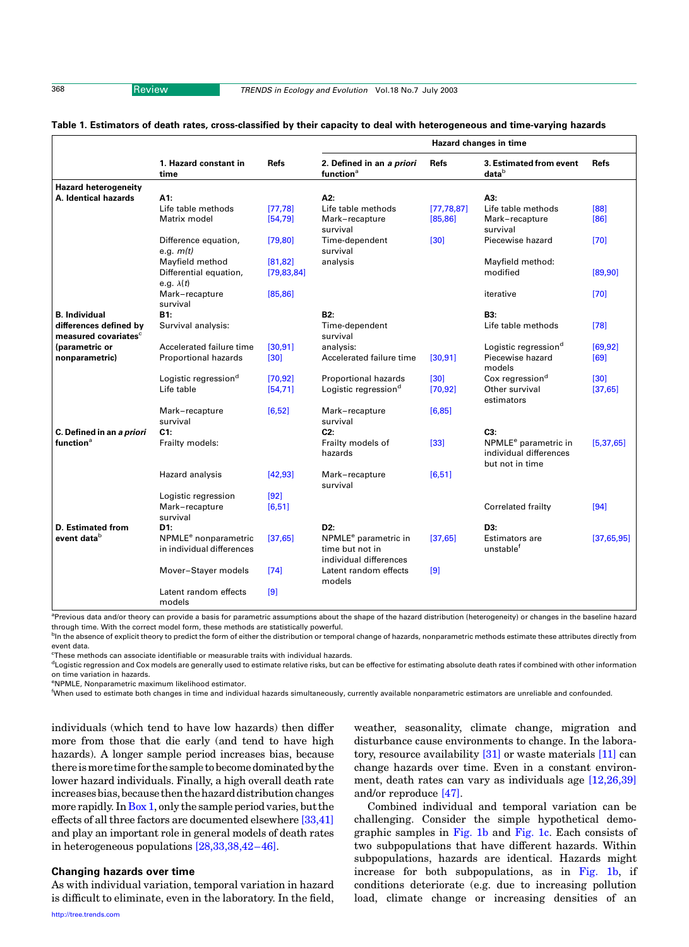<span id="page-2-0"></span>

#### Table 1. Estimators of death rates, cross-classified by their capacity to deal with heterogeneous and time-varying hazards

|                                  | 1. Hazard constant in<br>time                                 | Refs         | Hazard changes in time                              |              |                                                                               |              |
|----------------------------------|---------------------------------------------------------------|--------------|-----------------------------------------------------|--------------|-------------------------------------------------------------------------------|--------------|
|                                  |                                                               |              | 2. Defined in an a priori<br>function <sup>a</sup>  | Refs         | 3. Estimated from event<br>datab                                              | <b>Refs</b>  |
| <b>Hazard heterogeneity</b>      |                                                               |              |                                                     |              |                                                                               |              |
| A. Identical hazards             | A1:                                                           |              | A2:                                                 |              | A3:                                                                           |              |
|                                  | Life table methods                                            | [77, 78]     | Life table methods                                  | [77, 78, 87] | Life table methods                                                            | [88]         |
|                                  | Matrix model                                                  | [54, 79]     | Mark-recapture<br>survival                          | [85, 86]     | Mark-recapture<br>survival                                                    | [86]         |
|                                  | Difference equation,<br>e.g. $m(t)$                           | [79, 80]     | Time-dependent<br>survival                          | $[30]$       | Piecewise hazard                                                              | $[70]$       |
|                                  | Mayfield method                                               | [81, 82]     | analysis                                            |              | Mayfield method:                                                              |              |
|                                  | Differential equation,<br>e.g. $\lambda(t)$                   | [79, 83, 84] |                                                     |              | modified                                                                      | [89, 90]     |
|                                  | Mark-recapture<br>survival                                    | [85, 86]     |                                                     |              | iterative                                                                     | [70]         |
| <b>B.</b> Individual             | B1:                                                           |              | B <sub>2</sub> :                                    |              | <b>B3:</b>                                                                    |              |
| differences defined by           | Survival analysis:                                            |              | Time-dependent                                      |              | Life table methods                                                            | [78]         |
| measured covariates <sup>c</sup> |                                                               |              | survival                                            |              |                                                                               |              |
| (parametric or                   | Accelerated failure time                                      | [30, 91]     | analysis:                                           |              | Logistic regression <sup>d</sup>                                              | [69, 92]     |
| nonparametric)                   | Proportional hazards                                          | $[30]$       | Accelerated failure time                            | [30, 91]     | Piecewise hazard<br>models                                                    | [69]         |
|                                  | Logistic regression <sup>d</sup>                              | [70, 92]     | Proportional hazards                                | [30]         | Cox regression <sup>d</sup>                                                   | [30]         |
|                                  | Life table                                                    | [54, 71]     | Logistic regression <sup>d</sup>                    | [70, 92]     | Other survival<br>estimators                                                  | [37, 65]     |
|                                  | Mark-recapture                                                | [6, 52]      | Mark-recapture                                      | [6, 85]      |                                                                               |              |
|                                  | survival                                                      |              | survival                                            |              |                                                                               |              |
| C. Defined in an a priori        | C1:                                                           |              | C2:                                                 |              | $C3$ :                                                                        |              |
| function <sup>a</sup>            | Frailty models:                                               |              | Frailty models of<br>hazards                        | $[33]$       | NPMLE <sup>e</sup> parametric in<br>individual differences<br>but not in time | [5, 37, 65]  |
|                                  | Hazard analysis                                               | [42, 93]     | Mark-recapture<br>survival                          | [6, 51]      |                                                                               |              |
|                                  | Logistic regression                                           | $[92]$       |                                                     |              |                                                                               |              |
|                                  | Mark-recapture<br>survival                                    | [6, 51]      |                                                     |              | Correlated frailty                                                            | [94]         |
| D. Estimated from                | D1:                                                           |              | D <sub>2:</sub>                                     |              | D3:                                                                           |              |
| event datab                      | NPMLE <sup>e</sup> nonparametric<br>in individual differences | [37, 65]     | NPMLE <sup>e</sup> parametric in<br>time but not in | [37, 65]     | Estimators are<br>unstable <sup>f</sup>                                       | [37, 65, 95] |
|                                  |                                                               |              | individual differences                              |              |                                                                               |              |
|                                  | Mover-Stayer models                                           | [74]         | Latent random effects<br>models                     | [9]          |                                                                               |              |
|                                  | Latent random effects<br>models                               | [9]          |                                                     |              |                                                                               |              |

<sup>a</sup>Previous data and/or theory can provide a basis for parametric assumptions about the shape of the hazard distribution (heterogeneity) or changes in the baseline hazard through time. With the correct model form, these methods are statistically powerful.

<sup>b</sup>In the absence of explicit theory to predict the form of either the distribution or temporal change of hazards, nonparametric methods estimate these attributes directly from event data.

 $\mathrm{^{c}$ These methods can associate identifiable or measurable traits with individual hazards.

<sup>d</sup>Logistic regression and Cox models are generally used to estimate relative risks, but can be effective for estimating absolute death rates if combined with other information on time variation in hazards.

e NPMLE, Nonparametric maximum likelihood estimator.

f When used to estimate both changes in time and individual hazards simultaneously, currently available nonparametric estimators are unreliable and confounded.

individuals (which tend to have low hazards) then differ more from those that die early (and tend to have high hazards). A longer sample period increases bias, because there is more time for the sample to become dominated by the lower hazard individuals. Finally, a high overall death rate increases bias, because then the hazard distribution changes more rapidly. In  $Box 1$ , only the sample period varies, but the effects of all three factors are documented elsewhere [\[33,41\]](#page-6-0) and play an important role in general models of death rates in heterogeneous populations [\[28,33,38,42–46\].](#page-6-0)

#### Changing hazards over time

As with individual variation, temporal variation in hazard is difficult to eliminate, even in the laboratory. In the field, weather, seasonality, climate change, migration and disturbance cause environments to change. In the laboratory, resource availability [\[31\]](#page-6-0) or waste materials [\[11\]](#page-6-0) can change hazards over time. Even in a constant environment, death rates can vary as individuals age [\[12,26,39\]](#page-6-0) and/or reproduce [\[47\].](#page-7-0)

Combined individual and temporal variation can be challenging. Consider the simple hypothetical demographic samples in [Fig. 1b](#page-3-0) and [Fig. 1c.](#page-3-0) Each consists of two subpopulations that have different hazards. Within subpopulations, hazards are identical. Hazards might increase for both subpopulations, as in [Fig. 1b,](#page-3-0) if conditions deteriorate (e.g. due to increasing pollution load, climate change or increasing densities of an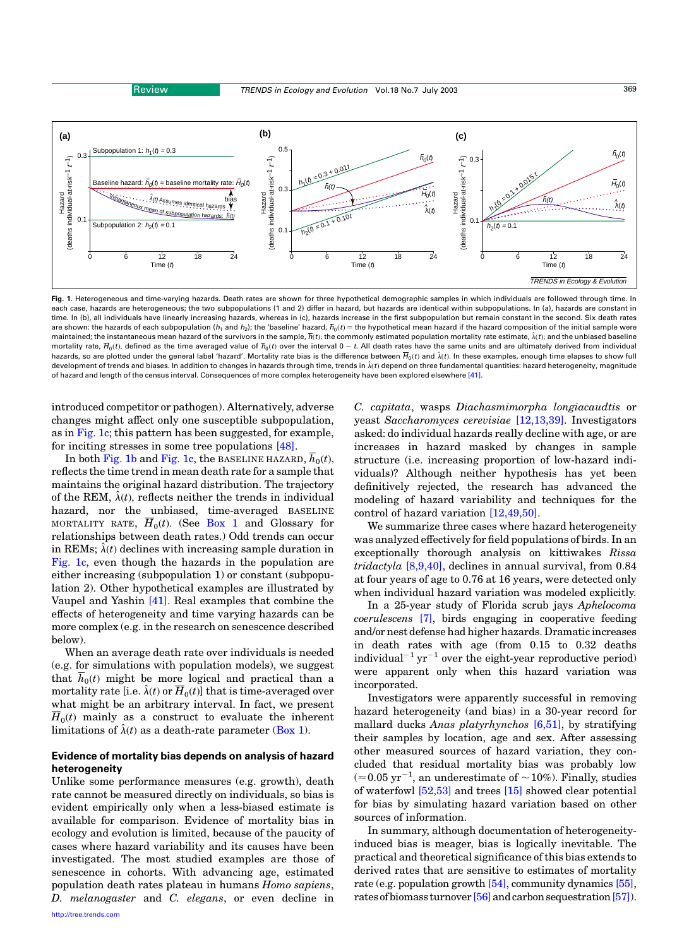<span id="page-3-0"></span>

Fig. 1. Heterogeneous and time-varying hazards. Death rates are shown for three hypothetical demographic samples in which individuals are followed through time. In each case, hazards are heterogeneous; the two subpopulations (1 and 2) differ in hazard, but hazards are identical within subpopulations. In (a), hazards are constant in time. In (b), all individuals have linearly increasing hazards, whereas in (c), hazards increase in the first subpopulation but remain constant in the second. Six death rates are shown: the hazards of each subpopulation ( $h_1$  and  $h_2$ ); the 'baseline' hazard,  $\overline{h}_0(t)$  = the hypothetical mean hazard if the hazard composition of the initial sample were maintained; the instantaneous mean hazard of the survivors in the sample,  $\overline{h}(t)$ ; the commonly estimated population mortality rate estimate,  $\hat{\lambda}(t)$ ; and the unbiased baseline mortality rate,  $\overline{H}_0(t)$ , defined as the time averaged value of  $\overline{h}_0(t)$  over the interval 0 - t. All death rates have the same units and are ultimately derived from individual hazards, so are plotted under the general label 'hazard'. Mortality rate bias is the difference between  $\overline{H}_0(t)$  and  $\hat{\lambda}(t)$ . In these examples, enough time elapses to show full development of trends and biases. In addition to changes in hazards through time, trends in  $\hat{\lambda}(t)$  depend on three fundamental quantities: hazard heterogeneity, magnitude of hazard and length of the census interval. Consequences of more complex heterogeneity have been explored elsewhere [\[41\]](#page-7-0).

introduced competitor or pathogen). Alternatively, adverse changes might affect only one susceptible subpopulation, as in Fig. 1c; this pattern has been suggested, for example, for inciting stresses in some tree populations [\[48\]](#page-7-0).

In both Fig. 1b and Fig. 1c, the BASELINE HAZARD,  $\overline{h}_0(t)$ , reflects the time trend in mean death rate for a sample that maintains the original hazard distribution. The trajectory of the REM,  $\hat{\lambda}(t)$ , reflects neither the trends in individual hazard, nor the unbiased, time-averaged BASELINE MORTALITY RATE,  $\overline{H}_0(t)$ . (See [Box 1](#page-1-0) and Glossary for relationships between death rates.) Odd trends can occur in REMs;  $\hat{\lambda}(t)$  declines with increasing sample duration in Fig. 1c, even though the hazards in the population are either increasing (subpopulation 1) or constant (subpopulation 2). Other hypothetical examples are illustrated by Vaupel and Yashin [\[41\].](#page-7-0) Real examples that combine the effects of heterogeneity and time varying hazards can be more complex (e.g. in the research on senescence described below).

When an average death rate over individuals is needed (e.g. for simulations with population models), we suggest that  $\overline{h}_0(t)$  might be more logical and practical than a mortality rate [i.e.  $\hat{\lambda}(t)$  or  $\overline{H}_0(t)$ ] that is time-averaged over what might be an arbitrary interval. In fact, we present  $\overline{H}_0(t)$  mainly as a construct to evaluate the inherent limitations of  $\hat{\lambda}(t)$  as a death-rate parameter ([Box 1](#page-1-0)).

# Evidence of mortality bias depends on analysis of hazard heterogeneity

Unlike some performance measures (e.g. growth), death rate cannot be measured directly on individuals, so bias is evident empirically only when a less-biased estimate is available for comparison. Evidence of mortality bias in ecology and evolution is limited, because of the paucity of cases where hazard variability and its causes have been investigated. The most studied examples are those of senescence in cohorts. With advancing age, estimated population death rates plateau in humans Homo sapiens, D. melanogaster and C. elegans, or even decline in

[http://tree.trends.com](http://www.trends.com)

C. capitata, wasps Diachasmimorpha longiacaudtis or yeast Saccharomyces cerevisiae [\[12,13,39\]](#page-6-0). Investigators asked: do individual hazards really decline with age, or are increases in hazard masked by changes in sample structure (i.e. increasing proportion of low-hazard individuals)? Although neither hypothesis has yet been definitively rejected, the research has advanced the modeling of hazard variability and techniques for the control of hazard variation [\[12,49,50\].](#page-6-0)

We summarize three cases where hazard heterogeneity was analyzed effectively for field populations of birds. In an exceptionally thorough analysis on kittiwakes Rissa  $tridactyla [8,9,40]$  $tridactyla [8,9,40]$ , declines in annual survival, from 0.84 at four years of age to 0.76 at 16 years, were detected only when individual hazard variation was modeled explicitly.

In a 25-year study of Florida scrub jays Aphelocoma coerulescens [\[7\]](#page-6-0), birds engaging in cooperative feeding and/or nest defense had higher hazards. Dramatic increases in death rates with age (from 0.15 to 0.32 deaths individual<sup>-1</sup> yr<sup>-1</sup> over the eight-year reproductive period) were apparent only when this hazard variation was incorporated.

Investigators were apparently successful in removing hazard heterogeneity (and bias) in a 30-year record for mallard ducks Anas platyrhynchos [\[6,51\],](#page-6-0) by stratifying their samples by location, age and sex. After assessing other measured sources of hazard variation, they concluded that residual mortality bias was probably low  $(\approx 0.05 \,\mathrm{yr}^{-1}$ , an underestimate of  $\sim 10\%$ ). Finally, studies of waterfowl [\[52,53\]](#page-7-0) and trees [\[15\]](#page-6-0) showed clear potential for bias by simulating hazard variation based on other sources of information.

In summary, although documentation of heterogeneityinduced bias is meager, bias is logically inevitable. The practical and theoretical significance of this bias extends to derived rates that are sensitive to estimates of mortality rate (e.g. population growth [\[54\],](#page-7-0) community dynamics [\[55\]](#page-7-0), rates of biomass turnover [\[56\]](#page-7-0) and carbon sequestration [\[57\]](#page-7-0)).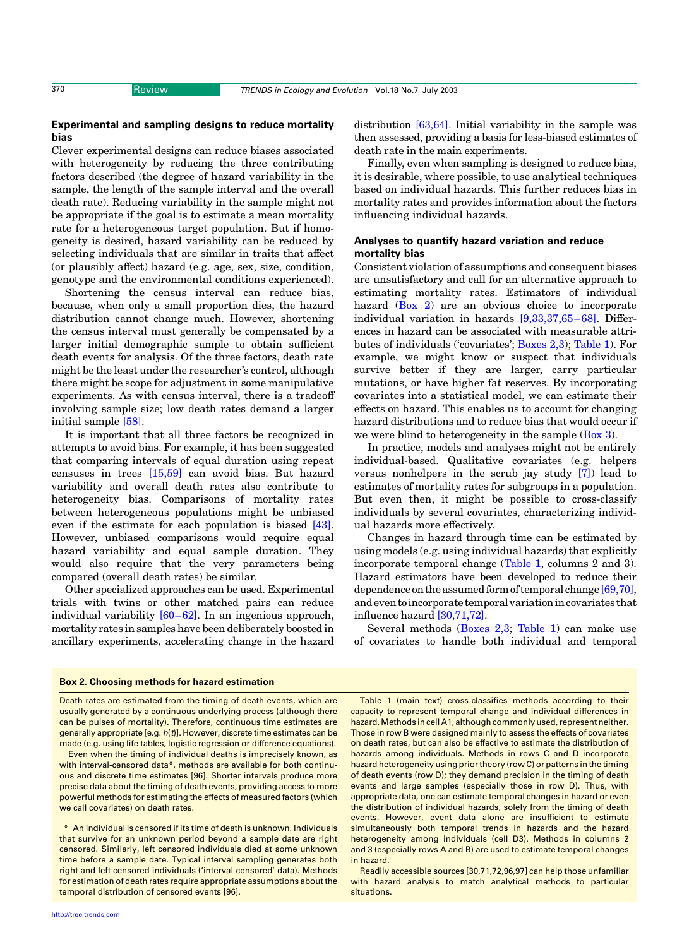# Experimental and sampling designs to reduce mortality bias

Clever experimental designs can reduce biases associated with heterogeneity by reducing the three contributing factors described (the degree of hazard variability in the sample, the length of the sample interval and the overall death rate). Reducing variability in the sample might not be appropriate if the goal is to estimate a mean mortality rate for a heterogeneous target population. But if homogeneity is desired, hazard variability can be reduced by selecting individuals that are similar in traits that affect (or plausibly affect) hazard (e.g. age, sex, size, condition, genotype and the environmental conditions experienced).

Shortening the census interval can reduce bias, because, when only a small proportion dies, the hazard distribution cannot change much. However, shortening the census interval must generally be compensated by a larger initial demographic sample to obtain sufficient death events for analysis. Of the three factors, death rate might be the least under the researcher's control, although there might be scope for adjustment in some manipulative experiments. As with census interval, there is a tradeoff involving sample size; low death rates demand a larger initial sample [\[58\].](#page-7-0)

It is important that all three factors be recognized in attempts to avoid bias. For example, it has been suggested that comparing intervals of equal duration using repeat censuses in trees [\[15,59\]](#page-6-0) can avoid bias. But hazard variability and overall death rates also contribute to heterogeneity bias. Comparisons of mortality rates between heterogeneous populations might be unbiased even if the estimate for each population is biased [\[43\]](#page-7-0). However, unbiased comparisons would require equal hazard variability and equal sample duration. They would also require that the very parameters being compared (overall death rates) be similar.

Other specialized approaches can be used. Experimental trials with twins or other matched pairs can reduce individual variability [\[60–62\]](#page-7-0). In an ingenious approach, mortality rates in samples have been deliberately boosted in ancillary experiments, accelerating change in the hazard distribution [\[63,64\].](#page-7-0) Initial variability in the sample was then assessed, providing a basis for less-biased estimates of death rate in the main experiments.

Finally, even when sampling is designed to reduce bias, it is desirable, where possible, to use analytical techniques based on individual hazards. This further reduces bias in mortality rates and provides information about the factors influencing individual hazards.

# Analyses to quantify hazard variation and reduce mortality bias

Consistent violation of assumptions and consequent biases are unsatisfactory and call for an alternative approach to estimating mortality rates. Estimators of individual hazard (Box 2) are an obvious choice to incorporate individual variation in hazards [\[9,33,37,65–68\]](#page-6-0). Differences in hazard can be associated with measurable attributes of individuals ('covariates'; Boxes 2,3); [Table 1](#page-2-0)). For example, we might know or suspect that individuals survive better if they are larger, carry particular mutations, or have higher fat reserves. By incorporating covariates into a statistical model, we can estimate their effects on hazard. This enables us to account for changing hazard distributions and to reduce bias that would occur if we were blind to heterogeneity in the sample  $(Box 3)$  $(Box 3)$  $(Box 3)$ .

In practice, models and analyses might not be entirely individual-based. Qualitative covariates (e.g. helpers versus nonhelpers in the scrub jay study [\[7\]](#page-6-0)) lead to estimates of mortality rates for subgroups in a population. But even then, it might be possible to cross-classify individuals by several covariates, characterizing individual hazards more effectively.

Changes in hazard through time can be estimated by using models (e.g. using individual hazards) that explicitly incorporate temporal change [\(Table 1,](#page-2-0) columns 2 and 3). Hazard estimators have been developed to reduce their dependence on the assumed form of temporal change [\[69,70\]](#page-7-0), andeventoincorporatetemporalvariationincovariatesthat influence hazard [\[30,71,72\].](#page-6-0)

Several methods (Boxes 2,3; [Table 1](#page-2-0)) can make use of covariates to handle both individual and temporal

#### Box 2. Choosing methods for hazard estimation

Death rates are estimated from the timing of death events, which are usually generated by a continuous underlying process (although there can be pulses of mortality). Therefore, continuous time estimates are generally appropriate [e.g. h(t)]. However, discrete time estimates can be made (e.g. using life tables, logistic regression or difference equations).

Even when the timing of individual deaths is imprecisely known, as with interval-censored data\*, methods are available for both continuous and discrete time estimates [96]. Shorter intervals produce more precise data about the timing of death events, providing access to more powerful methods for estimating the effects of measured factors (which we call covariates) on death rates.

\* An individual is censored if its time of death is unknown. Individuals that survive for an unknown period beyond a sample date are right censored. Similarly, left censored individuals died at some unknown time before a sample date. Typical interval sampling generates both right and left censored individuals ('interval-censored' data). Methods for estimation of death rates require appropriate assumptions about the temporal distribution of censored events [96].

Table 1 (main text) cross-classifies methods according to their capacity to represent temporal change and individual differences in hazard. Methods in cell A1, although commonly used, represent neither. Those in row B were designed mainly to assess the effects of covariates on death rates, but can also be effective to estimate the distribution of hazards among individuals. Methods in rows C and D incorporate hazard heterogeneity using prior theory (row C) or patterns in the timing of death events (row D); they demand precision in the timing of death events and large samples (especially those in row D). Thus, with appropriate data, one can estimate temporal changes in hazard or even the distribution of individual hazards, solely from the timing of death events. However, event data alone are insufficient to estimate simultaneously both temporal trends in hazards and the hazard heterogeneity among individuals (cell D3). Methods in columns 2 and 3 (especially rows A and B) are used to estimate temporal changes in hazard.

Readily accessible sources [30,71,72,96,97] can help those unfamiliar with hazard analysis to match analytical methods to particular situations.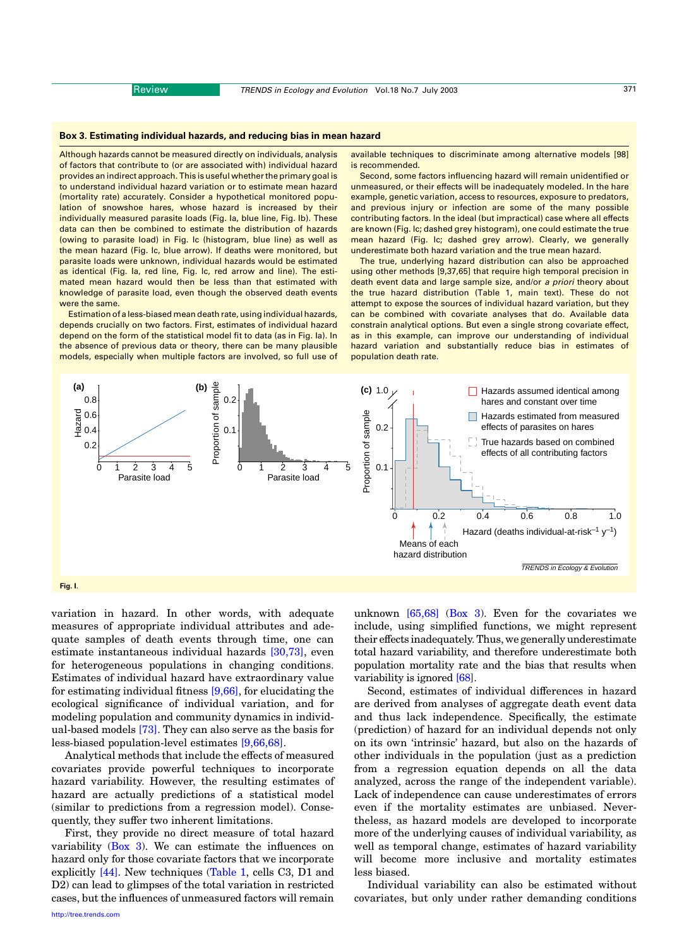#### <span id="page-5-0"></span>Box 3. Estimating individual hazards, and reducing bias in mean hazard

Although hazards cannot be measured directly on individuals, analysis of factors that contribute to (or are associated with) individual hazard provides an indirect approach. This is useful whether the primary goal is to understand individual hazard variation or to estimate mean hazard (mortality rate) accurately. Consider a hypothetical monitored population of snowshoe hares, whose hazard is increased by their individually measured parasite loads (Fig. Ia, blue line, Fig. Ib). These data can then be combined to estimate the distribution of hazards (owing to parasite load) in Fig. Ic (histogram, blue line) as well as the mean hazard (Fig. Ic, blue arrow). If deaths were monitored, but parasite loads were unknown, individual hazards would be estimated as identical (Fig. Ia, red line, Fig. Ic, red arrow and line). The estimated mean hazard would then be less than that estimated with knowledge of parasite load, even though the observed death events were the same.

Estimation of a less-biased mean death rate, using individual hazards, depends crucially on two factors. First, estimates of individual hazard depend on the form of the statistical model fit to data (as in Fig. Ia). In the absence of previous data or theory, there can be many plausible models, especially when multiple factors are involved, so full use of available techniques to discriminate among alternative models [98] is recommended.

Second, some factors influencing hazard will remain unidentified or unmeasured, or their effects will be inadequately modeled. In the hare example, genetic variation, access to resources, exposure to predators, and previous injury or infection are some of the many possible contributing factors. In the ideal (but impractical) case where all effects are known (Fig. Ic; dashed grey histogram), one could estimate the true mean hazard (Fig. Ic; dashed grey arrow). Clearly, we generally underestimate both hazard variation and the true mean hazard.

The true, underlying hazard distribution can also be approached using other methods [9,37,65] that require high temporal precision in death event data and large sample size, and/or a priori theory about the true hazard distribution (Table 1, main text). These do not attempt to expose the sources of individual hazard variation, but they can be combined with covariate analyses that do. Available data constrain analytical options. But even a single strong covariate effect, as in this example, can improve our understanding of individual hazard variation and substantially reduce bias in estimates of population death rate.



variation in hazard. In other words, with adequate measures of appropriate individual attributes and adequate samples of death events through time, one can estimate instantaneous individual hazards [\[30,73\]](#page-6-0), even for heterogeneous populations in changing conditions. Estimates of individual hazard have extraordinary value for estimating individual fitness [\[9,66\]](#page-6-0), for elucidating the ecological significance of individual variation, and for modeling population and community dynamics in individual-based models [\[73\].](#page-7-0) They can also serve as the basis for less-biased population-level estimates [\[9,66,68\].](#page-6-0)

Analytical methods that include the effects of measured covariates provide powerful techniques to incorporate hazard variability. However, the resulting estimates of hazard are actually predictions of a statistical model (similar to predictions from a regression model). Consequently, they suffer two inherent limitations.

First, they provide no direct measure of total hazard variability  $(Box 3)$ . We can estimate the influences on hazard only for those covariate factors that we incorporate explicitly [\[44\].](#page-7-0) New techniques ([Table 1,](#page-2-0) cells C3, D1 and D2) can lead to glimpses of the total variation in restricted cases, but the influences of unmeasured factors will remain unknown [\[65,68\]](#page-7-0) (Box 3). Even for the covariates we include, using simplified functions, we might represent their effects inadequately. Thus, we generally underestimate total hazard variability, and therefore underestimate both population mortality rate and the bias that results when variability is ignored [\[68\]](#page-7-0).

Second, estimates of individual differences in hazard are derived from analyses of aggregate death event data and thus lack independence. Specifically, the estimate (prediction) of hazard for an individual depends not only on its own 'intrinsic' hazard, but also on the hazards of other individuals in the population (just as a prediction from a regression equation depends on all the data analyzed, across the range of the independent variable). Lack of independence can cause underestimates of errors even if the mortality estimates are unbiased. Nevertheless, as hazard models are developed to incorporate more of the underlying causes of individual variability, as well as temporal change, estimates of hazard variability will become more inclusive and mortality estimates less biased.

Individual variability can also be estimated without covariates, but only under rather demanding conditions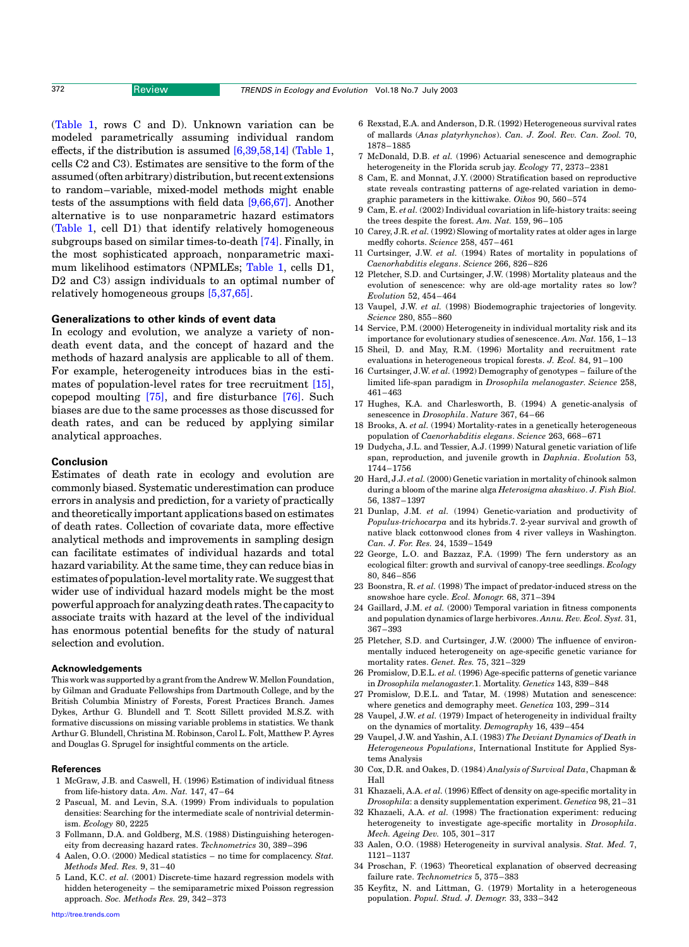<span id="page-6-0"></span>([Table 1,](#page-2-0) rows C and D). Unknown variation can be modeled parametrically assuming individual random effects, if the distribution is assumed [6,39,58,14] ([Table 1](#page-2-0), cells C2 and C3). Estimates are sensitive to the form of the assumed (often arbitrary) distribution, but recent extensions to random–variable, mixed-model methods might enable tests of the assumptions with field data [9,66,67]. Another alternative is to use nonparametric hazard estimators ([Table 1,](#page-2-0) cell D1) that identify relatively homogeneous subgroups based on similar times-to-death [\[74\]](#page-7-0). Finally, in the most sophisticated approach, nonparametric maximum likelihood estimators (NPMLEs; [Table 1](#page-2-0), cells D1, D<sub>2</sub> and C<sub>3</sub>) assign individuals to an optimal number of relatively homogeneous groups [5,37,65].

### Generalizations to other kinds of event data

In ecology and evolution, we analyze a variety of nondeath event data, and the concept of hazard and the methods of hazard analysis are applicable to all of them. For example, heterogeneity introduces bias in the estimates of population-level rates for tree recruitment [15], copepod moulting [\[75\]](#page-7-0), and fire disturbance [\[76\].](#page-7-0) Such biases are due to the same processes as those discussed for death rates, and can be reduced by applying similar analytical approaches.

#### Conclusion

Estimates of death rate in ecology and evolution are commonly biased. Systematic underestimation can produce errors in analysis and prediction, for a variety of practically and theoretically important applications based on estimates of death rates. Collection of covariate data, more effective analytical methods and improvements in sampling design can facilitate estimates of individual hazards and total hazard variability. At the same time, they can reduce bias in estimatesofpopulation-levelmortalityrate.Wesuggestthat wider use of individual hazard models might be the most powerful approach for analyzing death rates. The capacity to associate traits with hazard at the level of the individual has enormous potential benefits for the study of natural selection and evolution.

#### Acknowledgements

This work was supported by a grant from the Andrew W. Mellon Foundation, by Gilman and Graduate Fellowships from Dartmouth College, and by the British Columbia Ministry of Forests, Forest Practices Branch. James Dykes, Arthur G. Blundell and T. Scott Sillett provided M.S.Z. with formative discussions on missing variable problems in statistics. We thank Arthur G. Blundell, Christina M. Robinson, Carol L. Folt, Matthew P. Ayres and Douglas G. Sprugel for insightful comments on the article.

#### References

- 1 McGraw, J.B. and Caswell, H. (1996) Estimation of individual fitness from life-history data. Am. Nat. 147, 47–64
- 2 Pascual, M. and Levin, S.A. (1999) From individuals to population densities: Searching for the intermediate scale of nontrivial determinism. Ecology 80, 2225
- 3 Follmann, D.A. and Goldberg, M.S. (1988) Distinguishing heterogeneity from decreasing hazard rates. Technometrics 30, 389–396
- 4 Aalen, O.O. (2000) Medical statistics no time for complacency. Stat. Methods Med. Res. 9, 31–40
- 5 Land, K.C. et al. (2001) Discrete-time hazard regression models with hidden heterogeneity – the semiparametric mixed Poisson regression approach. Soc. Methods Res. 29, 342–373
- 6 Rexstad, E.A. and Anderson, D.R. (1992) Heterogeneous survival rates of mallards (Anas platyrhynchos). Can. J. Zool. Rev. Can. Zool. 70, 1878–1885
- 7 McDonald, D.B. et al. (1996) Actuarial senescence and demographic heterogeneity in the Florida scrub jay. Ecology 77, 2373–2381
- 8 Cam, E. and Monnat, J.Y. (2000) Stratification based on reproductive state reveals contrasting patterns of age-related variation in demographic parameters in the kittiwake. Oikos 90, 560–574
- 9 Cam, E. et al. (2002) Individual covariation in life-history traits: seeing the trees despite the forest. Am. Nat. 159, 96–105
- 10 Carey, J.R. et al. (1992) Slowing of mortality rates at older ages in large medfly cohorts. Science 258, 457–461
- 11 Curtsinger, J.W. et al. (1994) Rates of mortality in populations of Caenorhabditis elegans. Science 266, 826–826
- 12 Pletcher, S.D. and Curtsinger, J.W. (1998) Mortality plateaus and the evolution of senescence: why are old-age mortality rates so low? Evolution 52, 454–464
- 13 Vaupel, J.W. et al. (1998) Biodemographic trajectories of longevity. Science 280, 855–860
- 14 Service, P.M. (2000) Heterogeneity in individual mortality risk and its importance for evolutionary studies of senescence. Am. Nat. 156, 1–13
- 15 Sheil, D. and May, R.M. (1996) Mortality and recruitment rate evaluations in heterogeneous tropical forests. J. Ecol. 84, 91–100
- 16 Curtsinger, J.W. et al. (1992) Demography of genotypes failure of the limited life-span paradigm in Drosophila melanogaster. Science 258, 461–463
- 17 Hughes, K.A. and Charlesworth, B. (1994) A genetic-analysis of senescence in Drosophila. Nature 367, 64–66
- 18 Brooks, A. et al. (1994) Mortality-rates in a genetically heterogeneous population of Caenorhabditis elegans. Science 263, 668–671
- 19 Dudycha, J.L. and Tessier, A.J. (1999) Natural genetic variation of life span, reproduction, and juvenile growth in Daphnia. Evolution 53, 1744–1756
- 20 Hard, J.J. et al. (2000) Genetic variation in mortality of chinook salmon during a bloom of the marine alga *Heterosigma akaskiwo. J. Fish Biol.* 56, 1387–1397
- 21 Dunlap, J.M. et al. (1994) Genetic-variation and productivity of Populus-trichocarpa and its hybrids.7. 2-year survival and growth of native black cottonwood clones from 4 river valleys in Washington. Can. J. For. Res. 24, 1539–1549
- 22 George, L.O. and Bazzaz, F.A. (1999) The fern understory as an ecological filter: growth and survival of canopy-tree seedlings. Ecology 80, 846–856
- 23 Boonstra, R. et al. (1998) The impact of predator-induced stress on the snowshoe hare cycle. Ecol. Monogr. 68, 371–394
- 24 Gaillard, J.M. et al. (2000) Temporal variation in fitness components and population dynamics of large herbivores. Annu. Rev. Ecol. Syst. 31, 367–393
- 25 Pletcher, S.D. and Curtsinger, J.W. (2000) The influence of environmentally induced heterogeneity on age-specific genetic variance for mortality rates. Genet. Res. 75, 321–329
- 26 Promislow, D.E.L. et al. (1996) Age-specific patterns of genetic variance in Drosophila melanogaster.1. Mortality. Genetics 143, 839–848
- 27 Promislow, D.E.L. and Tatar, M. (1998) Mutation and senescence: where genetics and demography meet. Genetica 103, 299–314
- 28 Vaupel, J.W. et al. (1979) Impact of heterogeneity in individual frailty on the dynamics of mortality. Demography 16, 439–454
- 29 Vaupel, J.W. and Yashin, A.I. (1983) The Deviant Dynamics of Death in Heterogeneous Populations, International Institute for Applied Systems Analysis
- 30 Cox, D.R. and Oakes, D. (1984) Analysis of Survival Data, Chapman & Hall
- 31 Khazaeli, A.A. et al. (1996) Effect of density on age-specific mortality in Drosophila: a density supplementation experiment. Genetica 98, 21–31
- 32 Khazaeli, A.A. et al. (1998) The fractionation experiment: reducing heterogeneity to investigate age-specific mortality in Drosophila. Mech. Ageing Dev. 105, 301–317
- 33 Aalen, O.O. (1988) Heterogeneity in survival analysis. Stat. Med. 7, 1121–1137
- 34 Proschan, F. (1963) Theoretical explanation of observed decreasing failure rate. Technometrics 5, 375–383
- 35 Keyfitz, N. and Littman, G. (1979) Mortality in a heterogeneous population. Popul. Stud. J. Demogr. 33, 333–342